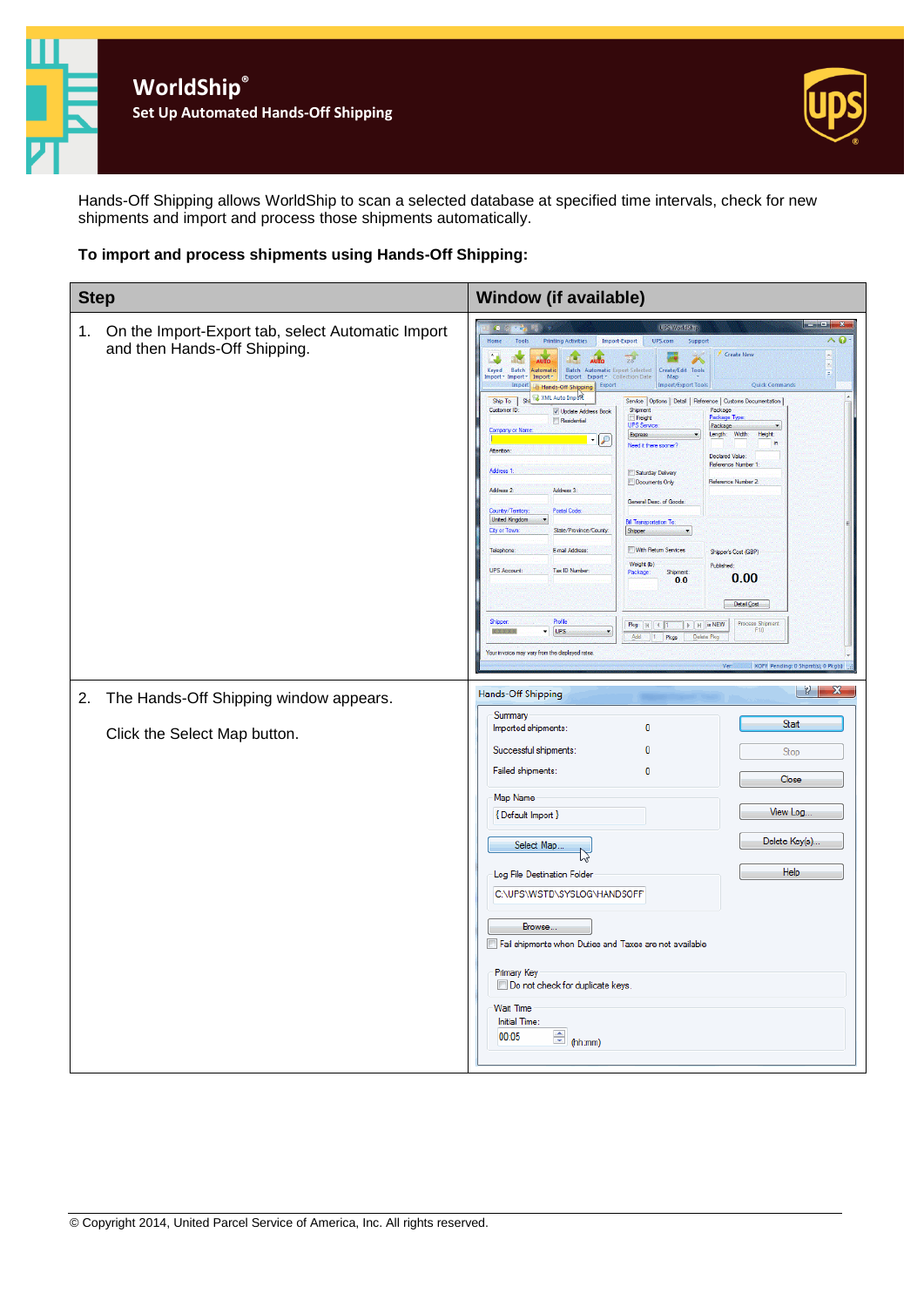

Hands-Off Shipping allows WorldShip to scan a selected database at specified time intervals, check for new shipments and import and process those shipments automatically.

#### **To import and process shipments using Hands-Off Shipping:**

| <b>Step</b> |                                                                                   | <b>Window (if available)</b>                                                                                                                                                                                                                                                                                                                                                                                                                                                                                                                                                                                                                                                                                                                                                                                                                                                                                                                                                                                                                                                                                                                                                                                                                                                                                                                                                                                                                                                                                                                                                                                                                                                                                                                                                                                                                                                                                              |  |
|-------------|-----------------------------------------------------------------------------------|---------------------------------------------------------------------------------------------------------------------------------------------------------------------------------------------------------------------------------------------------------------------------------------------------------------------------------------------------------------------------------------------------------------------------------------------------------------------------------------------------------------------------------------------------------------------------------------------------------------------------------------------------------------------------------------------------------------------------------------------------------------------------------------------------------------------------------------------------------------------------------------------------------------------------------------------------------------------------------------------------------------------------------------------------------------------------------------------------------------------------------------------------------------------------------------------------------------------------------------------------------------------------------------------------------------------------------------------------------------------------------------------------------------------------------------------------------------------------------------------------------------------------------------------------------------------------------------------------------------------------------------------------------------------------------------------------------------------------------------------------------------------------------------------------------------------------------------------------------------------------------------------------------------------------|--|
| 1.          | On the Import-Export tab, select Automatic Import<br>and then Hands-Off Shipping. | $\overline{\phantom{a}}$ , $\overline{\phantom{a}}$ , $\overline{\phantom{a}}$ , $\overline{\phantom{a}}$ , $\overline{\phantom{a}}$ , $\overline{\phantom{a}}$<br>UPS WorldShip<br>$\mathcal{L}_{\mathcal{L}}$<br>$\land$ 0<br>Tools<br><b>Printing Activities</b><br>Import-Export<br>UPS.com<br>Support<br>Home<br>Create New<br>af er<br>D.Z<br>AUTO<br>AUTO<br>$\overline{23}$<br>الحما<br>à.<br>Batch<br>Batch Automatic Export Selected   Create/Edit Tools<br>Keyed<br>Automatic<br>F<br>mport * Import *<br>Import *<br>Export Export * Collection Date<br>Map<br>Import Hands-Off Shipping Export<br>Import/Export Tools<br><b>Quick Commands</b><br>Ship To Shi W XML Auto Import<br>Service Options   Detail   Reference   Customs Documentation<br>Customer ID:<br>Shipment<br>Package<br>V Update Address Book<br>Freight<br><sup>3</sup> ackage Type<br>Residential<br>UPS Servi<br>Package<br>Company or Nat<br>Width:<br>Height:<br>Length:<br>Express<br>-12<br>in.<br>Need it there sooner?<br>Attention:<br><b>Declared Value:</b><br>Reference Number 1<br>Address 1<br>Saturday Delivery<br>Reference Number 2:<br>Documents Only<br>Address 3:<br>Address 2:<br>General Desc. of Goods<br>Postal Code<br>Country/Territory:<br><b>Unted Kingdom</b><br><b>Bill Transportation To</b><br>State/Province/County<br><b>City or Town</b><br>Shipper<br><b>Im With Return Services</b><br>Telephone<br>E-mail Address<br>Shipper's Cost (GBP)<br>Weight (b)<br>Published:<br>Tax ID Number<br><b>UPS Account:</b><br>Package:<br>Shipment<br>0.00<br>0.0<br>Detail Cost<br>Profile<br>Shipper:<br>Process Shipment<br>F10<br>Pkg:     4   1<br>$\begin{bmatrix} \rightarrow \end{bmatrix}$ $\begin{bmatrix} \rightarrow \end{bmatrix}$ is NEW<br>$-$ UPS<br><b>NEV X</b><br>Add<br>1 Pkgs<br>Delete Pkg<br>Your invoice may vary from the displayed rates<br>Ver:<br>XOFY Pending: 0 Shpmt(s), 0 Pkg(s) |  |
| 2.          | The Hands-Off Shipping window appears.<br>Click the Select Map button.            | -8 1<br>$\mathbf{x}$<br>Hands-Off Shipping<br>Summary<br>Start<br>$\mathbf{0}$<br>Imported shipments:<br>Successful shipments:<br>n<br>Stop<br>Failed shipments:<br>$\mathbf{0}$<br>Close<br>Map Name<br>View Log<br>{ Default Import }<br>Delete Key(s).<br>Select Map<br>Help<br>Log File Destination Folder<br>C:\UPS\WSTD\SYSLOG\HANDSOFF<br>Browse.<br>Fail shipments when Duties and Taxes are not available<br>Primary Key<br>Do not check for duplicate keys.<br><b>Wait Time</b><br>Initial Time:<br>$\frac{1}{2}$ (hh:mm)<br>00:05                                                                                                                                                                                                                                                                                                                                                                                                                                                                                                                                                                                                                                                                                                                                                                                                                                                                                                                                                                                                                                                                                                                                                                                                                                                                                                                                                                              |  |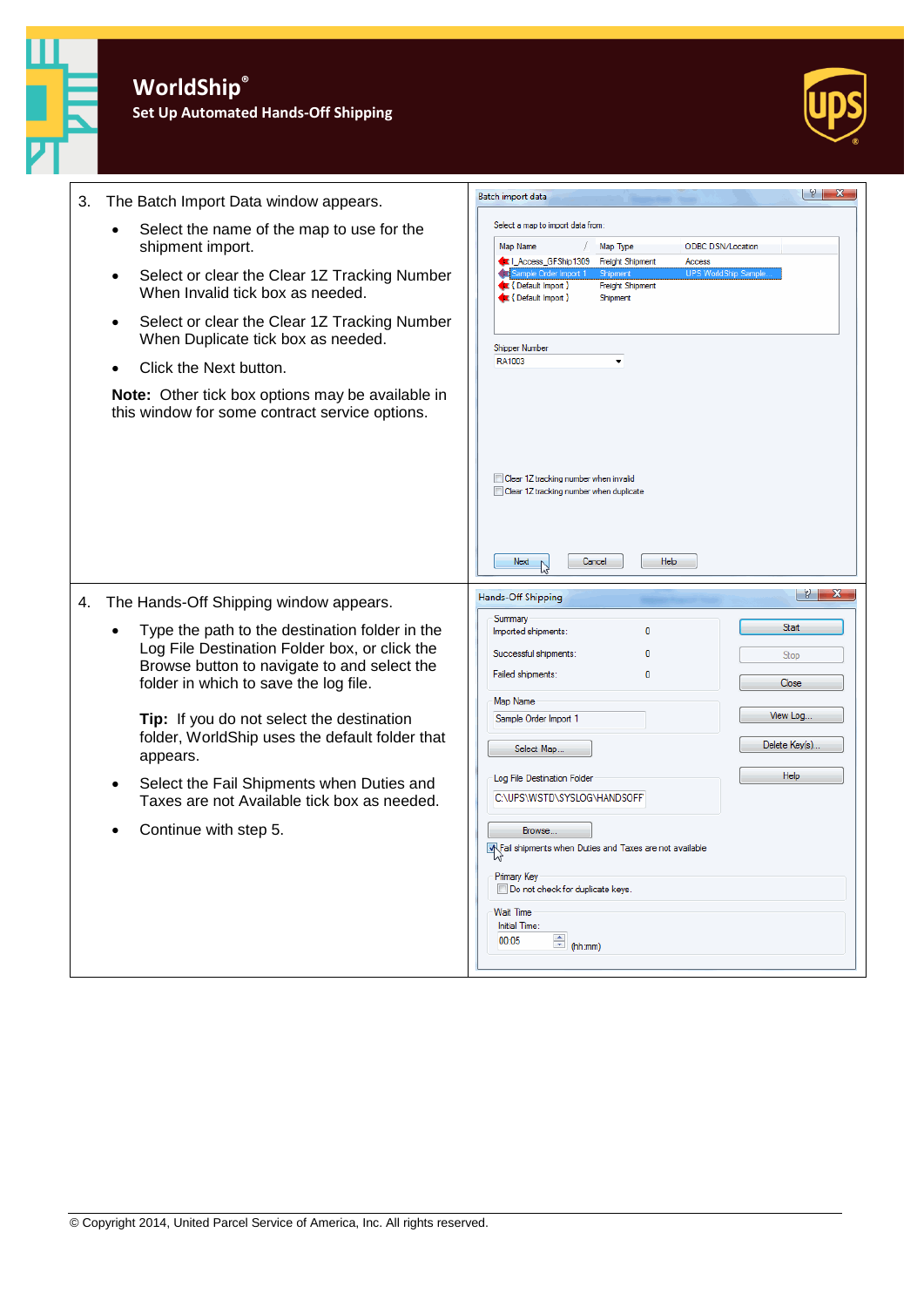

**Set Up Automated Hands-Off Shipping**



|                                                                                                                                                                                                                                                                                                               | $ y  - x$                                                                                                                                                                                                                                                                                                                           |
|---------------------------------------------------------------------------------------------------------------------------------------------------------------------------------------------------------------------------------------------------------------------------------------------------------------|-------------------------------------------------------------------------------------------------------------------------------------------------------------------------------------------------------------------------------------------------------------------------------------------------------------------------------------|
| 3.<br>The Batch Import Data window appears.                                                                                                                                                                                                                                                                   | Batch import data                                                                                                                                                                                                                                                                                                                   |
| Select the name of the map to use for the<br>٠<br>shipment import.<br>Select or clear the Clear 1Z Tracking Number<br>$\bullet$<br>When Invalid tick box as needed.<br>Select or clear the Clear 1Z Tracking Number<br>$\bullet$<br>When Duplicate tick box as needed.<br>Click the Next button.<br>$\bullet$ | Select a map to import data from:<br>Map Type<br>Map Name<br><b>ODBC DSN/Location</b><br>LAccess_GFShip1309<br><b>Freight Shipment</b><br>Access<br><b>UPS WorldShip Sample</b><br>Sample Order Import<br>Shipment<br>E {Default Import }<br><b>Freight Shipment</b><br>E {Default Import }<br>Shipment<br>Shipper Number<br>RA1003 |
| Note: Other tick box options may be available in<br>this window for some contract service options.                                                                                                                                                                                                            | Clear 1Z tracking number when invalid<br>Clear 1Z tracking number when duplicate<br>Next<br>Cancel<br>Help                                                                                                                                                                                                                          |
| The Hands-Off Shipping window appears.<br>4.                                                                                                                                                                                                                                                                  | $ S  = \mathbf{X}$<br>Hands-Off Shipping                                                                                                                                                                                                                                                                                            |
| Type the path to the destination folder in the<br>Log File Destination Folder box, or click the<br>Browse button to navigate to and select the<br>folder in which to save the log file.<br>Tip: If you do not select the destination<br>folder, WorldShip uses the default folder that<br>appears.            | Summary<br><b>Start</b><br>$\mathbf{0}$<br>Imported shipments:<br>Successful shipments:<br>n<br>Stop<br>Failed shipments:<br>0<br>Close<br>Map Name<br>View Log<br>Sample Order Import 1<br>Delete Key(s)<br>Select Map                                                                                                             |
| Select the Fail Shipments when Duties and<br>$\bullet$<br>Taxes are not Available tick box as needed.                                                                                                                                                                                                         | Help<br>Log File Destination Folder<br>C:\UPS\WSTD\SYSLOG\HANDSOFF'                                                                                                                                                                                                                                                                 |
| Continue with step 5.                                                                                                                                                                                                                                                                                         | Browse<br>W.Fail shipments when Duties and Taxes are not available<br><b>Primary Key</b><br>Do not check for duplicate keys.<br><b>Wait Time</b><br>Initial Time:<br>$\leftarrow$ (hh:mm)<br>00:05                                                                                                                                  |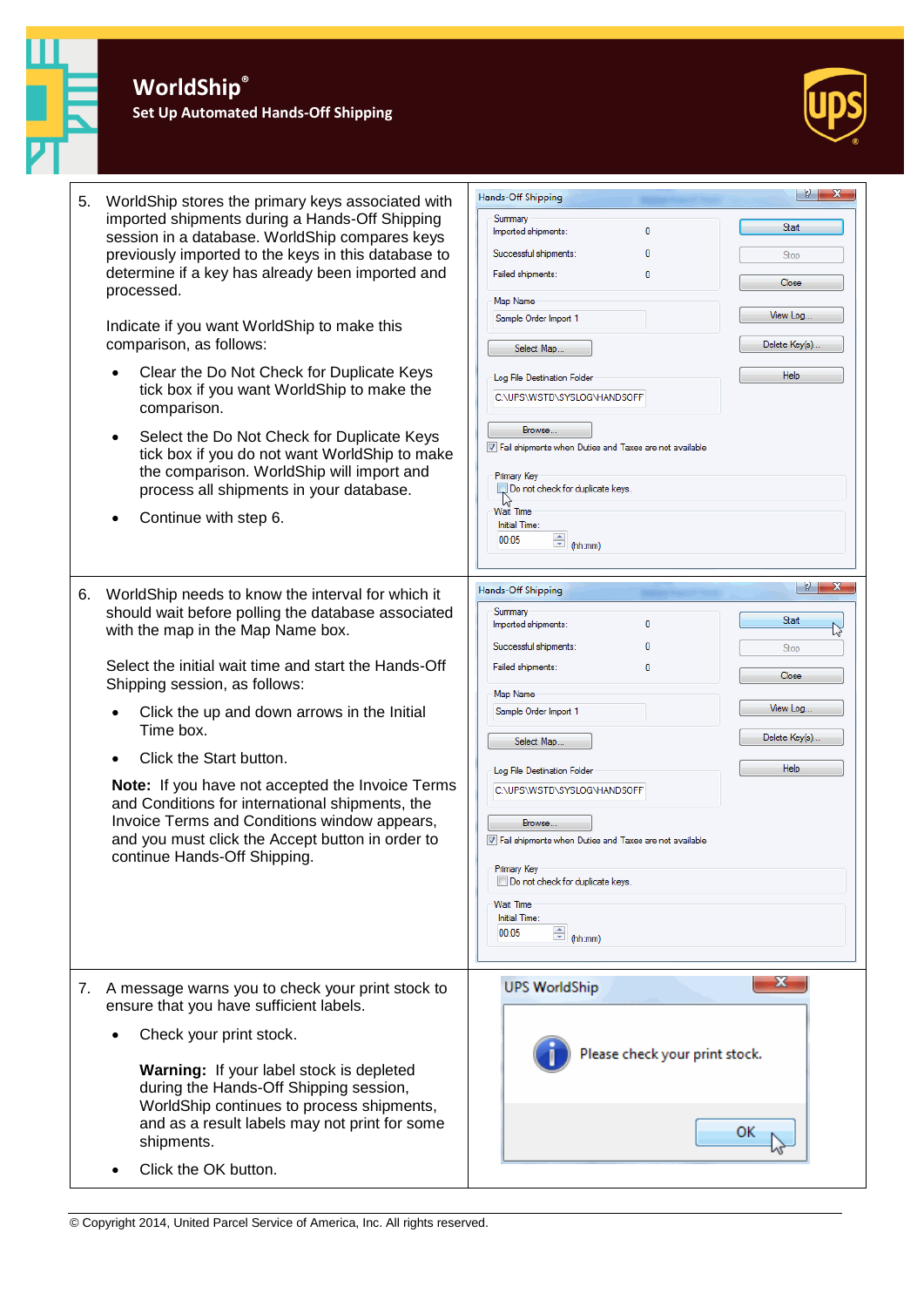**Set Up Automated Hands-Off Shipping**



| 5. | WorldShip stores the primary keys associated with<br>imported shipments during a Hands-Off Shipping<br>session in a database. WorldShip compares keys<br>previously imported to the keys in this database to<br>determine if a key has already been imported and<br>processed.<br>Indicate if you want WorldShip to make this<br>comparison, as follows:<br>Clear the Do Not Check for Duplicate Keys<br>tick box if you want WorldShip to make the<br>comparison.<br>Select the Do Not Check for Duplicate Keys<br>$\bullet$<br>tick box if you do not want WorldShip to make<br>the comparison. WorldShip will import and<br>process all shipments in your database.<br>Continue with step 6. | 181<br>$-\mathbf{x}$<br>Hands-Off Shipping<br>Summary<br><b>Start</b><br>Imported shipments:<br>0<br>Successful shipments:<br>n<br>Stop<br>Failed shipments:<br>0<br>Close<br>Map Name<br>View Log<br>Sample Order Import 1<br>Delete Key(s)<br>Select Map.<br>Help<br>Log File Destination Folder<br>C:\UPS\WSTD\SYSLOG\HANDSOFF<br>Browse<br>V Fail shipments when Duties and Taxes are not available<br><b>Primary Key</b><br>Do not check for duplicate keys.<br>Wait Time<br>Initial Time:<br>$\triangleq$ (hh:mm)<br>00:05       |
|----|-------------------------------------------------------------------------------------------------------------------------------------------------------------------------------------------------------------------------------------------------------------------------------------------------------------------------------------------------------------------------------------------------------------------------------------------------------------------------------------------------------------------------------------------------------------------------------------------------------------------------------------------------------------------------------------------------|----------------------------------------------------------------------------------------------------------------------------------------------------------------------------------------------------------------------------------------------------------------------------------------------------------------------------------------------------------------------------------------------------------------------------------------------------------------------------------------------------------------------------------------|
| 6. | WorldShip needs to know the interval for which it<br>should wait before polling the database associated<br>with the map in the Map Name box.<br>Select the initial wait time and start the Hands-Off<br>Shipping session, as follows:<br>Click the up and down arrows in the Initial<br>Time box.<br>Click the Start button.<br>Note: If you have not accepted the Invoice Terms<br>and Conditions for international shipments, the<br>Invoice Terms and Conditions window appears,<br>and you must click the Accept button in order to<br>continue Hands-Off Shipping.                                                                                                                         | $  \gamma  $ $\mathbf{x}$<br>Hands-Off Shipping<br>Summary<br>Start<br>0<br>Imported shipments:<br>Successful shipments:<br>n<br>Stop<br>Failed shipments:<br>n<br>Close<br>Map Name<br>View Log<br>Sample Order Import 1<br>Delete Key(s).<br>Select Map<br>Help<br>Log File Destination Folder<br>C:\UPS\WSTD\SYSLOG\HANDSOFF<br>Browse.<br>V Fail shipments when Duties and Taxes are not available<br><b>Primary Key</b><br>Do not check for duplicate keys.<br><b>Wait Time</b><br>Initial Time:<br>$\triangleq$ (hh:mm)<br>00:05 |
| 7. | A message warns you to check your print stock to<br>ensure that you have sufficient labels.<br>Check your print stock.<br>Warning: If your label stock is depleted<br>during the Hands-Off Shipping session,<br>WorldShip continues to process shipments,<br>and as a result labels may not print for some<br>shipments.<br>Click the OK button.                                                                                                                                                                                                                                                                                                                                                | $\mathbf{x}$<br><b>UPS WorldShip</b><br>Please check your print stock.<br>ок                                                                                                                                                                                                                                                                                                                                                                                                                                                           |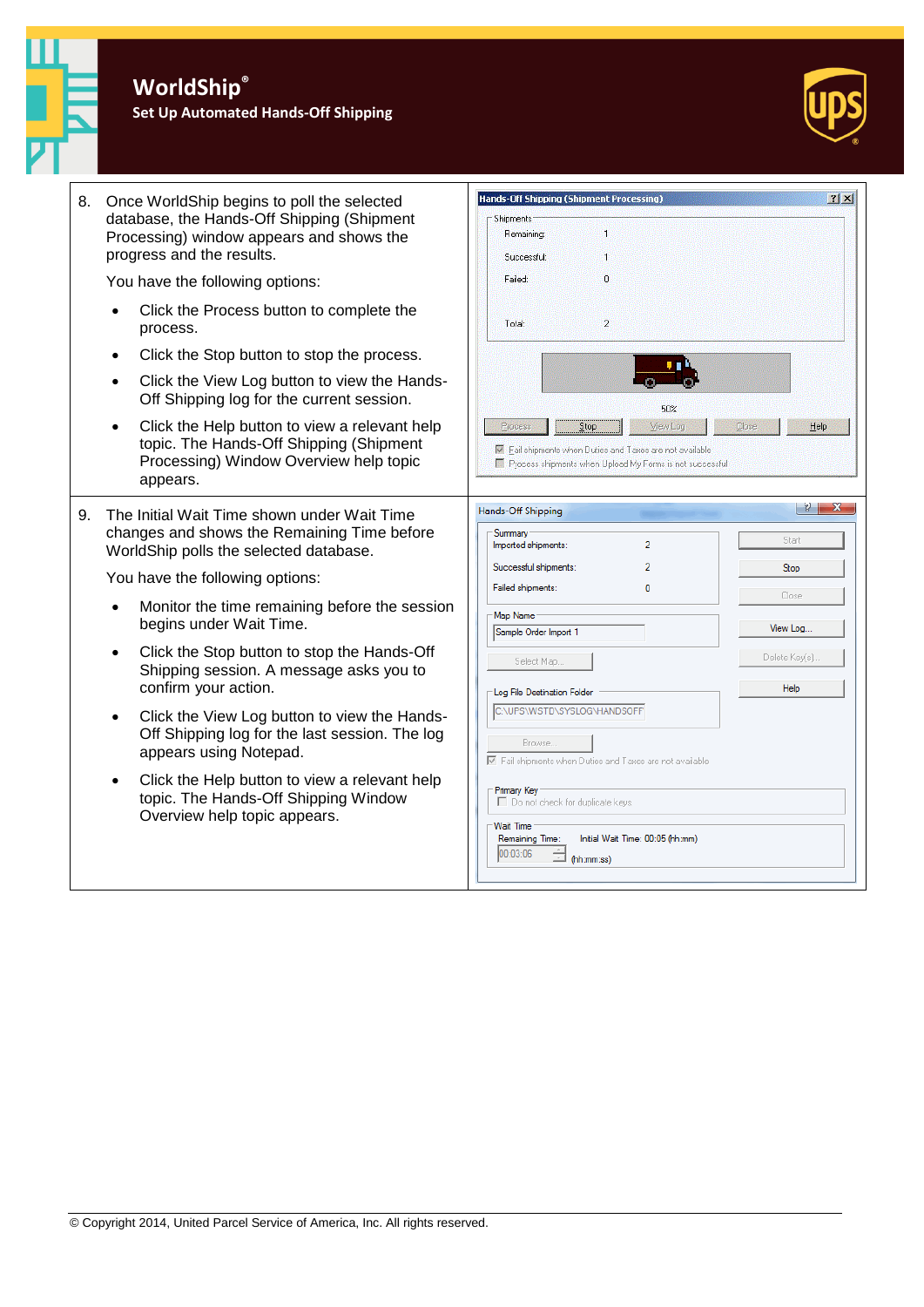**Set Up Automated Hands-Off Shipping**



| 8. | Once WorldShip begins to poll the selected<br>database, the Hands-Off Shipping (Shipment<br>Processing) window appears and shows the<br>progress and the results.                                                                                       | Hands-Off Shipping (Shipment Processing)<br>$2 \times$<br>Shipments:<br>H.<br>Remaining:<br>Successful:<br>1                                                       |
|----|---------------------------------------------------------------------------------------------------------------------------------------------------------------------------------------------------------------------------------------------------------|--------------------------------------------------------------------------------------------------------------------------------------------------------------------|
|    | You have the following options:                                                                                                                                                                                                                         | Failed:<br>0                                                                                                                                                       |
|    | Click the Process button to complete the<br>$\bullet$<br>process.                                                                                                                                                                                       | $\overline{2}$<br>Total:                                                                                                                                           |
|    | Click the Stop button to stop the process.<br>$\bullet$                                                                                                                                                                                                 |                                                                                                                                                                    |
|    | Click the View Log button to view the Hands-<br>Off Shipping log for the current session.                                                                                                                                                               | 50%                                                                                                                                                                |
|    | Click the Help button to view a relevant help<br>topic. The Hands-Off Shipping (Shipment<br>Processing) Window Overview help topic<br>appears.                                                                                                          | Stop<br>View Log<br>Close<br>Help<br>Process<br>Fail shipments when Duties and Taxes are not available<br>Process shipments when Upload My Forms is not successful |
| 9. | The Initial Wait Time shown under Wait Time<br>changes and shows the Remaining Time before<br>WorldShip polls the selected database.                                                                                                                    | $ 2 - x $<br>Hands-Off Shipping<br>Summary<br>Start<br>$\overline{2}$<br>Imported shipments:                                                                       |
|    | You have the following options:                                                                                                                                                                                                                         | $\overline{2}$<br>Successful shipments:<br>Stop                                                                                                                    |
|    | Monitor the time remaining before the session<br>$\bullet$<br>begins under Wait Time.                                                                                                                                                                   | Failed shipments:<br>0<br>Close<br>Map Name<br>View Log<br>Sample Order Import 1                                                                                   |
|    | Click the Stop button to stop the Hands-Off<br>Shipping session. A message asks you to<br>confirm your action.<br>Click the View Log button to view the Hands-<br>$\bullet$<br>Off Shipping log for the last session. The log<br>appears using Notepad. | Delete Key(s).<br>Select Map<br>Help                                                                                                                               |
|    |                                                                                                                                                                                                                                                         | Log File Destination Folder<br>C:\UPS\WSTD\SYSLOG\HANDSOFF<br>Browse.<br>■ Fail shipments when Duties and Taxes are not available                                  |
|    | Click the Help button to view a relevant help<br>topic. The Hands-Off Shipping Window<br>Overview help topic appears.                                                                                                                                   | Primary Key<br>Do not check for duplicate keys.<br><b>Wait Time</b><br>Initial Wait Time: 00:05 (hh:mm)<br>Remaining Time:<br>00:03:06<br>(hh:mm:ss)               |